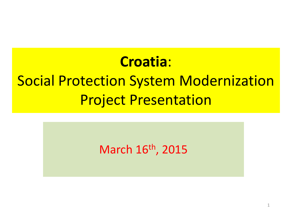## **Croatia**: Social Protection System Modernization Project Presentation

#### March 16th, 2015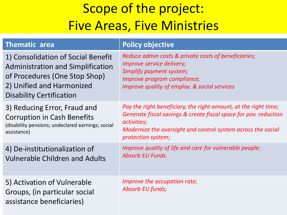#### Scope of the project: Five Areas, Five Ministries

| <b>Thematic area</b>                                                                                                                                                            | <b>Policy objective</b>                                                                                                                                                                                                                  |
|---------------------------------------------------------------------------------------------------------------------------------------------------------------------------------|------------------------------------------------------------------------------------------------------------------------------------------------------------------------------------------------------------------------------------------|
| 1) Consolidation of Social Benefit<br><b>Administration and Simplification</b><br>of Procedures (One Stop Shop)<br>2) Unified and Harmonized<br><b>Disability Certification</b> | Reduce admin costs & private costs of beneficiaries;<br><i>improve service delivery;</i><br>Simplify payment system;<br>Improve program compliance;<br>Improve quality of employ. & social services                                      |
| 3) Reducing Error, Fraud and<br><b>Corruption in Cash Benefits</b><br>(disability pensions; undeclared earnings; social<br>assistance)                                          | Pay the right beneficiary, the right amount, at the right time;<br>Generate fiscal savings & create fiscal space for pov. reduction<br>activities;<br>Modernize the oversight and control system across the social<br>protection system; |
| 4) De-institutionalization of<br><b>Vulnerable Children and Adults</b>                                                                                                          | Improve quality of life and care for vulnerable people;<br><b>Absorb EU Funds.</b>                                                                                                                                                       |
| 5) Activation of Vulnerable<br>Groups, (in particular social<br>assistance beneficiaries)                                                                                       | Improve the occupation rate;<br>Absorb EU funds;                                                                                                                                                                                         |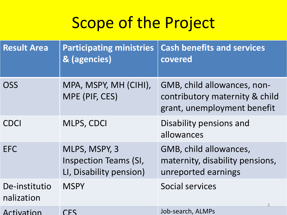## Scope of the Project

| <b>Result Area</b>          | <b>Participating ministries</b><br>& (agencies)                          | <b>Cash benefits and services</b><br>covered                                                 |
|-----------------------------|--------------------------------------------------------------------------|----------------------------------------------------------------------------------------------|
| <b>OSS</b>                  | MPA, MSPY, MH (CIHI),<br>MPE (PIF, CES)                                  | GMB, child allowances, non-<br>contributory maternity & child<br>grant, unemployment benefit |
| <b>CDCI</b>                 | MLPS, CDCI                                                               | Disability pensions and<br>allowances                                                        |
| <b>EFC</b>                  | MLPS, MSPY, 3<br><b>Inspection Teams (SI,</b><br>LI, Disability pension) | GMB, child allowances,<br>maternity, disability pensions,<br>unreported earnings             |
| De-institutio<br>nalization | <b>MSPY</b>                                                              | Social services<br>3                                                                         |
| Activation                  | CΕS                                                                      | Job-search, ALMPs                                                                            |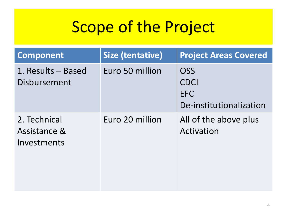## Scope of the Project

| <b>Component</b>                            | Size (tentative) | <b>Project Areas Covered</b>                                       |
|---------------------------------------------|------------------|--------------------------------------------------------------------|
| 1. Results - Based<br>Disbursement          | Euro 50 million  | <b>OSS</b><br><b>CDCI</b><br><b>EFC</b><br>De-institutionalization |
| 2. Technical<br>Assistance &<br>Investments | Euro 20 million  | All of the above plus<br>Activation                                |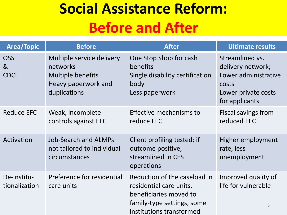## **Social Assistance Reform: Before and After**

| <b>Area/Topic</b>                           | <b>Before</b>                                                                                            | <b>After</b>                                                                                                                                | Ultimate results                                                                                               |
|---------------------------------------------|----------------------------------------------------------------------------------------------------------|---------------------------------------------------------------------------------------------------------------------------------------------|----------------------------------------------------------------------------------------------------------------|
| <b>OSS</b><br>8 <sub>k</sub><br><b>CDCI</b> | Multiple service delivery<br>networks<br><b>Multiple benefits</b><br>Heavy paperwork and<br>duplications | One Stop Shop for cash<br>benefits<br>Single disability certification<br>body<br>Less paperwork                                             | Streamlined vs.<br>delivery network;<br>Lower administrative<br>costs<br>Lower private costs<br>for applicants |
| <b>Reduce EFC</b>                           | Weak, incomplete<br>controls against EFC                                                                 | Effective mechanisms to<br>reduce EFC                                                                                                       | <b>Fiscal savings from</b><br>reduced EFC                                                                      |
| Activation                                  | <b>Job-Search and ALMPs</b><br>not tailored to individual<br>circumstances                               | Client profiling tested; if<br>outcome positive,<br>streamlined in CES<br>operations                                                        | Higher employment<br>rate, less<br>unemployment                                                                |
| De-institu-<br>tionalization                | Preference for residential<br>care units                                                                 | Reduction of the caseload in<br>residential care units,<br>beneficiaries moved to<br>family-type settings, some<br>institutions transformed | Improved quality of<br>life for vulnerable<br>5                                                                |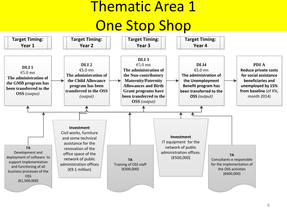## Thematic Area 1 One Stop Shop

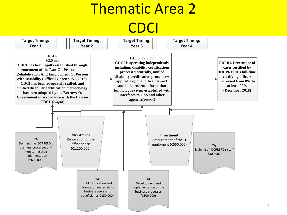## Thematic Area 2 CDCI

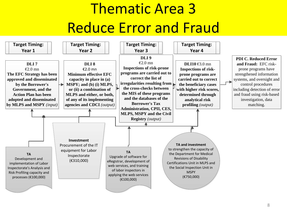## Thematic Area 3 Reduce Error and Fraud

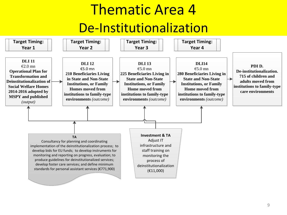### Thematic Area 4 De-Institutionalization

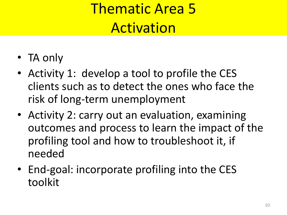## Thematic Area 5 Activation

- TA only
- Activity 1: develop a tool to profile the CES clients such as to detect the ones who face the risk of long-term unemployment
- Activity 2: carry out an evaluation, examining outcomes and process to learn the impact of the profiling tool and how to troubleshoot it, if needed
- End-goal: incorporate profiling into the CES toolkit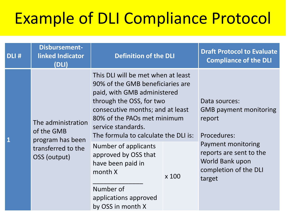# Example of DLI Compliance Protocol

| DLI# | <b>Disbursement-</b><br>linked Indicator<br>(DLI)    | <b>Definition of the DLI</b>                                                                                                                                                                                                                                       |       | <b>Draft Protocol to Evaluate</b><br><b>Compliance of the DLI</b>                                                                                                              |
|------|------------------------------------------------------|--------------------------------------------------------------------------------------------------------------------------------------------------------------------------------------------------------------------------------------------------------------------|-------|--------------------------------------------------------------------------------------------------------------------------------------------------------------------------------|
|      | The administration<br>of the GMB<br>program has been | This DLI will be met when at least<br>90% of the GMB beneficiaries are<br>paid, with GMB administered<br>through the OSS, for two<br>consecutive months; and at least<br>80% of the PAOs met minimum<br>service standards.<br>The formula to calculate the DLI is: |       | Data sources:<br><b>GMB payment monitoring</b><br>report<br>Procedures:<br>Payment monitoring<br>reports are sent to the<br>World Bank upon<br>completion of the DLI<br>target |
|      | transferred to the<br>OSS (output)                   | Number of applicants<br>approved by OSS that<br>have been paid in<br>month X                                                                                                                                                                                       | x 100 |                                                                                                                                                                                |
|      |                                                      | Number of<br>applications approved<br>by OSS in month X                                                                                                                                                                                                            |       |                                                                                                                                                                                |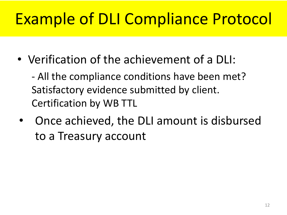# Example of DLI Compliance Protocol

• Verification of the achievement of a DLI:

- All the compliance conditions have been met? Satisfactory evidence submitted by client. Certification by WB TTL

• Once achieved, the DLI amount is disbursed to a Treasury account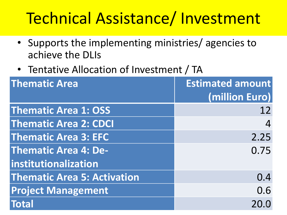## Technical Assistance/ Investment

- Supports the implementing ministries/ agencies to achieve the DLIs
- Tentative Allocation of Investment / TA

| <b>Thematic Area</b>               | <b>Estimated amount</b> |
|------------------------------------|-------------------------|
|                                    | (million Euro)          |
| <b>Thematic Area 1: OSS</b>        | 12                      |
| <b>Thematic Area 2: CDCI</b>       |                         |
| <b>Thematic Area 3: EFC</b>        | 2.25                    |
| <b>Thematic Area 4: De-</b>        | 0.75                    |
| <i><b>institutionalization</b></i> |                         |
| <b>Thematic Area 5: Activation</b> | 0.4                     |
| <b>Project Management</b>          | 0.6                     |
| Total                              | 20.0                    |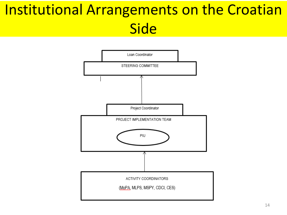## Institutional Arrangements on the Croatian Side

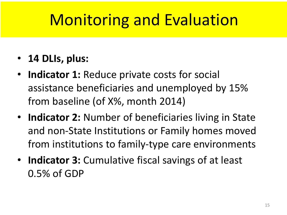## Monitoring and Evaluation

- **14 DLIs, plus:**
- **Indicator 1:** Reduce private costs for social assistance beneficiaries and unemployed by 15% from baseline (of X%, month 2014)
- **Indicator 2:** Number of beneficiaries living in State and non-State Institutions or Family homes moved from institutions to family-type care environments
- **Indicator 3:** Cumulative fiscal savings of at least 0.5% of GDP